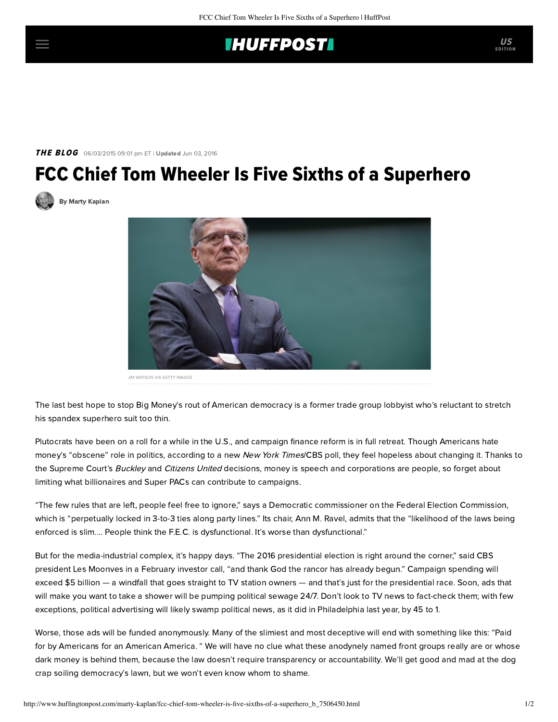## **IHUFFPOSTI**

## **THE BLOG** 06/03/2015 09:01 pm ET | Updated Jun 03, 2016

## FCC Chief Tom Wheeler Is Five Sixths of a Superhero

[By Marty Kaplan](http://www.huffingtonpost.com/author/marty-kaplan)



The last best hope to stop Big Money's rout of American democracy is a former trade group lobbyist who's reluctant to stretch

his spandex superhero suit too thin.

Plutocrats have been on a roll for a while in the U.S., and campaign finance reform is in full retreat. Though Americans hate money's "obscene" role in politics, according to a new New York Times/CBS [poll,](http://www.nytimes.com/2015/06/03/us/politics/poll-shows-americans-favor-overhaul-of-campaign-financing.html?_r=2) they feel hopeless about changing it. Thanks to the Supreme Court's Buckley and Citizens United decisions, money is speech and corporations are people, so forget about limiting what billionaires and Super PACs can contribute to campaigns.

"The few rules that are left, people feel free to ignore," [says](http://www.nytimes.com/2015/05/03/us/politics/fec-cant-curb-2016-election-abuse-commission-chief-says.html) a Democratic commissioner on the Federal Election Commission, which is "perpetually locked in 3-to-3 ties along party lines." Its chair, Ann M. Ravel, [admits](http://www.nytimes.com/2015/05/03/us/politics/fec-cant-curb-2016-election-abuse-commission-chief-says.html) that the "likelihood of the laws being enforced is slim.... People think the F.E.C. is dysfunctional. It's worse than dysfunctional."

But for the media-industrial complex, it's happy days. "The 2016 presidential election is right around the corner," [said](https://firstlook.org/theintercept/2015/05/22/one-group-americans-drool-wall-wall-presidential-campaign-ads-next-year-media-companies/?utm_content=buffer166de&utm_medium=social&utm_source=twitter.com&utm_campaign=buffer) CBS president Les Moonves in a February investor call, "and thank God the rancor has already begun." Campaign spending will exceed \$5 billion — a windfall that goes straight to TV station owners — and that's just for the presidential race. Soon, ads that will make you want to take a shower will be pumping political sewage 24/7. Don't look to TV news to fact-check them; with few [exceptions,](http://www.annenbergpublicpolicycenter.org/cronkitejackson-prize-for-fact-checking-awarded-to-denvers-kusa/) political advertising will likely swamp political news, as [it did](https://blog.archive.org/2015/03/19/political-ads-win-over-news-45-to-1-in-philly-tv-news-2014/) in Philadelphia last year, by 45 to 1.

Worse, those ads will be funded anonymously. Many of the slimiest and most deceptive will end with something like this: "Paid for by Americans for an American America. " We will have no clue what these anodynely named front groups really are or whose dark money is behind them, because the law doesn't require transparency or accountability. We'll get good and mad at the dog crap soiling democracy's lawn, but we won't even know whom to shame.